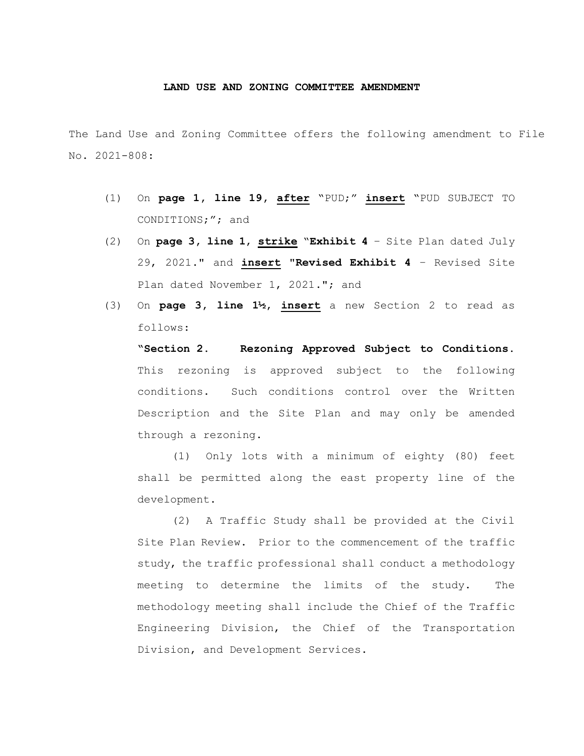## **LAND USE AND ZONING COMMITTEE AMENDMENT**

The Land Use and Zoning Committee offers the following amendment to File No. 2021-808:

- (1) On **page 1, line 19, after** "PUD;" **insert** "PUD SUBJECT TO CONDITIONS;"; and
- (2) On **page 3, line 1**, **strike** "**Exhibit 4** Site Plan dated July 29, 2021." and **insert** "**Revised Exhibit 4** – Revised Site Plan dated November 1, 2021."; and
- (3) On **page 3, line 1½, insert** a new Section 2 to read as follows:

**"Section 2. Rezoning Approved Subject to Conditions.**  This rezoning is approved subject to the following conditions. Such conditions control over the Written Description and the Site Plan and may only be amended through a rezoning.

(1) Only lots with a minimum of eighty (80) feet shall be permitted along the east property line of the development.

(2) A Traffic Study shall be provided at the Civil Site Plan Review. Prior to the commencement of the traffic study, the traffic professional shall conduct a methodology meeting to determine the limits of the study. The methodology meeting shall include the Chief of the Traffic Engineering Division, the Chief of the Transportation Division, and Development Services.